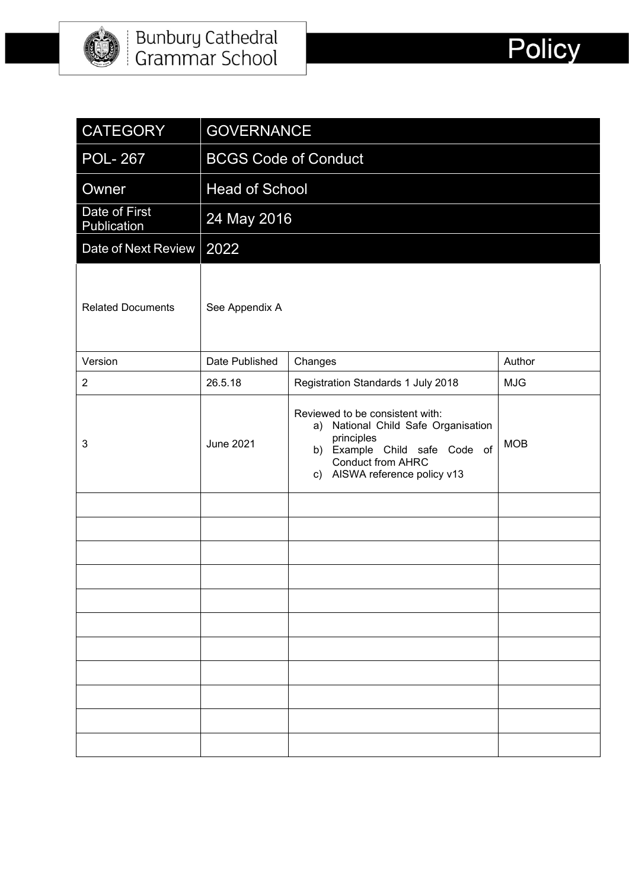

| <b>CATEGORY</b>              | <b>GOVERNANCE</b>           |                                                                                                                                                                                    |            |  |  |
|------------------------------|-----------------------------|------------------------------------------------------------------------------------------------------------------------------------------------------------------------------------|------------|--|--|
| <b>POL-267</b>               | <b>BCGS Code of Conduct</b> |                                                                                                                                                                                    |            |  |  |
| Owner                        | <b>Head of School</b>       |                                                                                                                                                                                    |            |  |  |
| Date of First<br>Publication | 24 May 2016                 |                                                                                                                                                                                    |            |  |  |
| Date of Next Review          | 2022                        |                                                                                                                                                                                    |            |  |  |
| <b>Related Documents</b>     | See Appendix A              |                                                                                                                                                                                    |            |  |  |
| Version                      | Date Published              | Changes                                                                                                                                                                            | Author     |  |  |
| $\overline{2}$               | 26.5.18                     | Registration Standards 1 July 2018                                                                                                                                                 | <b>MJG</b> |  |  |
| 3                            | <b>June 2021</b>            | Reviewed to be consistent with:<br>a) National Child Safe Organisation<br>principles<br>b) Example Child safe Code of<br><b>Conduct from AHRC</b><br>c) AISWA reference policy v13 | <b>MOB</b> |  |  |
|                              |                             |                                                                                                                                                                                    |            |  |  |
|                              |                             |                                                                                                                                                                                    |            |  |  |
|                              |                             |                                                                                                                                                                                    |            |  |  |
|                              |                             |                                                                                                                                                                                    |            |  |  |
|                              |                             |                                                                                                                                                                                    |            |  |  |
|                              |                             |                                                                                                                                                                                    |            |  |  |
|                              |                             |                                                                                                                                                                                    |            |  |  |
|                              |                             |                                                                                                                                                                                    |            |  |  |
|                              |                             |                                                                                                                                                                                    |            |  |  |
|                              |                             |                                                                                                                                                                                    |            |  |  |
|                              |                             |                                                                                                                                                                                    |            |  |  |

Policy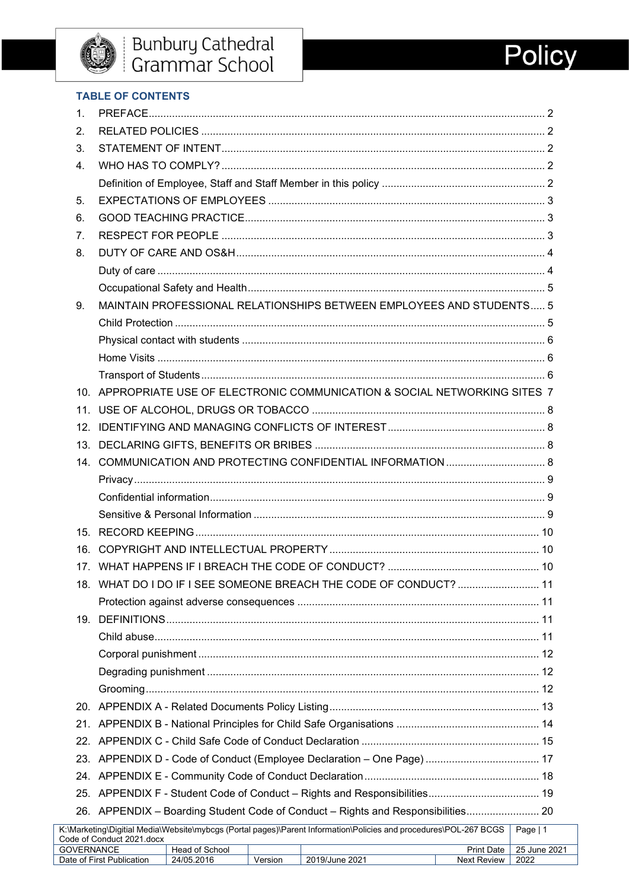# **Policy**

#### **TABLE OF CONTENTS**

| 1.             |                                                                                                                                 |  |  |  |  |  |  |
|----------------|---------------------------------------------------------------------------------------------------------------------------------|--|--|--|--|--|--|
| 2.             |                                                                                                                                 |  |  |  |  |  |  |
| 3.             |                                                                                                                                 |  |  |  |  |  |  |
| 4 <sup>1</sup> |                                                                                                                                 |  |  |  |  |  |  |
|                |                                                                                                                                 |  |  |  |  |  |  |
| 5.             |                                                                                                                                 |  |  |  |  |  |  |
| 6.             |                                                                                                                                 |  |  |  |  |  |  |
| 7 <sub>1</sub> |                                                                                                                                 |  |  |  |  |  |  |
| 8.             |                                                                                                                                 |  |  |  |  |  |  |
|                |                                                                                                                                 |  |  |  |  |  |  |
|                |                                                                                                                                 |  |  |  |  |  |  |
| 9.             | MAINTAIN PROFESSIONAL RELATIONSHIPS BETWEEN EMPLOYEES AND STUDENTS 5                                                            |  |  |  |  |  |  |
|                |                                                                                                                                 |  |  |  |  |  |  |
|                |                                                                                                                                 |  |  |  |  |  |  |
|                |                                                                                                                                 |  |  |  |  |  |  |
|                |                                                                                                                                 |  |  |  |  |  |  |
|                | 10. APPROPRIATE USE OF ELECTRONIC COMMUNICATION & SOCIAL NETWORKING SITES 7                                                     |  |  |  |  |  |  |
|                |                                                                                                                                 |  |  |  |  |  |  |
|                |                                                                                                                                 |  |  |  |  |  |  |
|                |                                                                                                                                 |  |  |  |  |  |  |
|                |                                                                                                                                 |  |  |  |  |  |  |
|                |                                                                                                                                 |  |  |  |  |  |  |
|                |                                                                                                                                 |  |  |  |  |  |  |
|                |                                                                                                                                 |  |  |  |  |  |  |
|                |                                                                                                                                 |  |  |  |  |  |  |
|                |                                                                                                                                 |  |  |  |  |  |  |
|                |                                                                                                                                 |  |  |  |  |  |  |
|                | 18. WHAT DO I DO IF I SEE SOMEONE BREACH THE CODE OF CONDUCT?  11                                                               |  |  |  |  |  |  |
|                |                                                                                                                                 |  |  |  |  |  |  |
|                |                                                                                                                                 |  |  |  |  |  |  |
|                |                                                                                                                                 |  |  |  |  |  |  |
|                |                                                                                                                                 |  |  |  |  |  |  |
|                |                                                                                                                                 |  |  |  |  |  |  |
|                |                                                                                                                                 |  |  |  |  |  |  |
|                |                                                                                                                                 |  |  |  |  |  |  |
|                |                                                                                                                                 |  |  |  |  |  |  |
|                |                                                                                                                                 |  |  |  |  |  |  |
|                |                                                                                                                                 |  |  |  |  |  |  |
|                |                                                                                                                                 |  |  |  |  |  |  |
|                |                                                                                                                                 |  |  |  |  |  |  |
|                | 26. APPENDIX - Boarding Student Code of Conduct - Rights and Responsibilities 20                                                |  |  |  |  |  |  |
|                | K:\Marketing\Digitial Media\Website\mybcgs (Portal pages)\Parent Information\Policies and procedures\POL-267 BCGS<br>Page   $1$ |  |  |  |  |  |  |
|                | Code of Conduct 2021.docx<br><b>GOVERNANCE</b><br>Head of School<br>25 June 2021<br><b>Print Date</b>                           |  |  |  |  |  |  |
|                | 2019/June 2021<br>Date of First Publication<br>24/05.2016<br>Version<br><b>Next Review</b><br>2022                              |  |  |  |  |  |  |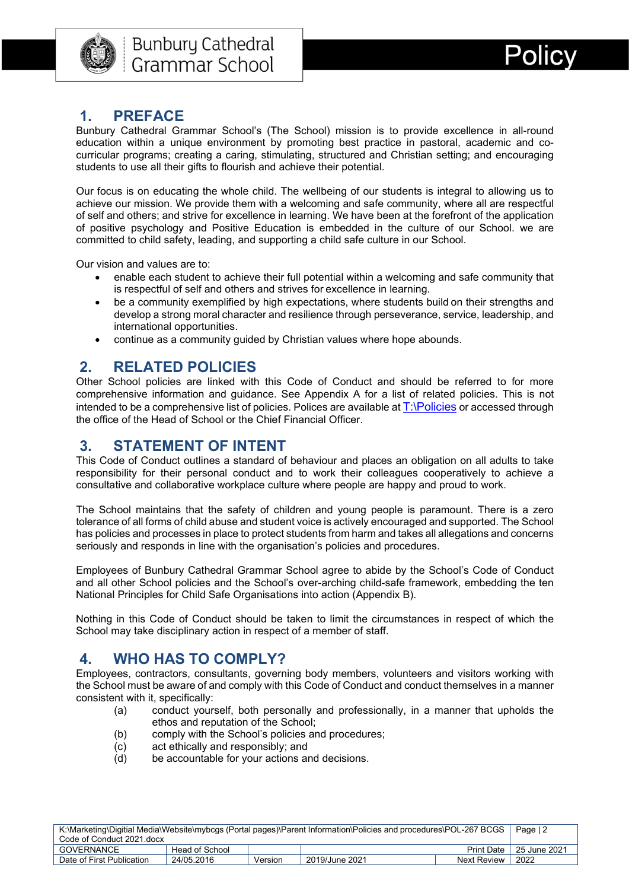

### <span id="page-2-0"></span>**1. PREFACE**

Bunbury Cathedral Grammar School's (The School) mission is to provide excellence in all-round education within a unique environment by promoting best practice in pastoral, academic and cocurricular programs; creating a caring, stimulating, structured and Christian setting; and encouraging students to use all their gifts to flourish and achieve their potential.

Our focus is on educating the whole child. The wellbeing of our students is integral to allowing us to achieve our mission. We provide them with a welcoming and safe community, where all are respectful of self and others; and strive for excellence in learning. We have been at the forefront of the application of positive psychology and Positive Education is embedded in the culture of our School. we are committed to child safety, leading, and supporting a child safe culture in our School.

Our vision and values are to:

- enable each student to achieve their full potential within a welcoming and safe community that is respectful of self and others and strives for excellence in learning.
- be a community exemplified by high expectations, where students build on their strengths and develop a strong moral character and resilience through perseverance, service, leadership, and international opportunities.
- continue as a community guided by Christian values where hope abounds.

#### <span id="page-2-1"></span>**2. RELATED POLICIES**

Other School policies are linked with this Code of Conduct and should be referred to for more comprehensive information and guidance. See Appendix A for a list of related policies. This is not intended to be a comprehensive list of policies. Polices are available at [T:\Policies](file://bcgs.wa.edu.au/storage/staff-shared/Policies) or accessed through the office of the Head of School or the Chief Financial Officer.

#### <span id="page-2-2"></span>**3. STATEMENT OF INTENT**

This Code of Conduct outlines a standard of behaviour and places an obligation on all adults to take responsibility for their personal conduct and to work their colleagues cooperatively to achieve a consultative and collaborative workplace culture where people are happy and proud to work.

The School maintains that the safety of children and young people is paramount. There is a zero tolerance of all forms of child abuse and student voice is actively encouraged and supported. The School has policies and processes in place to protect students from harm and takes all allegations and concerns seriously and responds in line with the organisation's policies and procedures.

Employees of Bunbury Cathedral Grammar School agree to abide by the School's Code of Conduct and all other School policies and the School's over-arching child-safe framework, embedding the ten National Principles for Child Safe Organisations into action (Appendix B).

Nothing in this Code of Conduct should be taken to limit the circumstances in respect of which the School may take disciplinary action in respect of a member of staff.

## <span id="page-2-3"></span>**4. WHO HAS TO COMPLY?**

Employees, contractors, consultants, governing body members, volunteers and visitors working with the School must be aware of and comply with this Code of Conduct and conduct themselves in a manner consistent with it, specifically:

- (a) conduct yourself, both personally and professionally, in a manner that upholds the ethos and reputation of the School;
- (b) comply with the School's policies and procedures;
- (c) act ethically and responsibly; and
- (d) be accountable for your actions and decisions.

| K:\Marketing\Digitial Media\Website\mybcgs (Portal pages)\Parent Information\Policies and procedures\POL-267 BCGS |                |         |                |                              |      |
|-------------------------------------------------------------------------------------------------------------------|----------------|---------|----------------|------------------------------|------|
| Code of Conduct 2021.docx                                                                                         |                |         |                |                              |      |
| <b>GOVERNANCE</b>                                                                                                 | Head of School |         |                | 25 June 2021<br>Print Date I |      |
| Date of First Publication                                                                                         | 24/05.2016     | Version | 2019/June 2021 | Next Review                  | 2022 |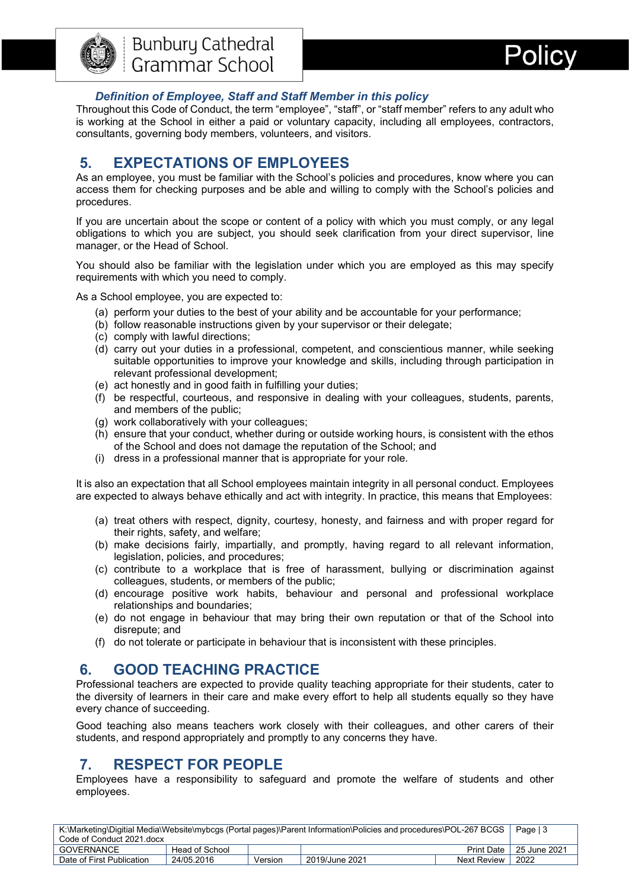



#### *Definition of Employee, Staff and Staff Member in this policy*

<span id="page-3-0"></span>Throughout this Code of Conduct, the term "employee", "staff", or "staff member" refers to any adult who is working at the School in either a paid or voluntary capacity, including all employees, contractors, consultants, governing body members, volunteers, and visitors.

## <span id="page-3-1"></span>**5. EXPECTATIONS OF EMPLOYEES**

As an employee, you must be familiar with the School's policies and procedures, know where you can access them for checking purposes and be able and willing to comply with the School's policies and procedures.

If you are uncertain about the scope or content of a policy with which you must comply, or any legal obligations to which you are subject, you should seek clarification from your direct supervisor, line manager, or the Head of School.

You should also be familiar with the legislation under which you are employed as this may specify requirements with which you need to comply.

As a School employee, you are expected to:

- (a) perform your duties to the best of your ability and be accountable for your performance;
- (b) follow reasonable instructions given by your supervisor or their delegate;
- (c) comply with lawful directions;
- (d) carry out your duties in a professional, competent, and conscientious manner, while seeking suitable opportunities to improve your knowledge and skills, including through participation in relevant professional development;
- (e) act honestly and in good faith in fulfilling your duties;
- (f) be respectful, courteous, and responsive in dealing with your colleagues, students, parents, and members of the public;
- (g) work collaboratively with your colleagues;
- (h) ensure that your conduct, whether during or outside working hours, is consistent with the ethos of the School and does not damage the reputation of the School; and
- (i) dress in a professional manner that is appropriate for your role.

It is also an expectation that all School employees maintain integrity in all personal conduct. Employees are expected to always behave ethically and act with integrity. In practice, this means that Employees:

- (a) treat others with respect, dignity, courtesy, honesty, and fairness and with proper regard for their rights, safety, and welfare;
- (b) make decisions fairly, impartially, and promptly, having regard to all relevant information, legislation, policies, and procedures;
- (c) contribute to a workplace that is free of harassment, bullying or discrimination against colleagues, students, or members of the public;
- (d) encourage positive work habits, behaviour and personal and professional workplace relationships and boundaries;
- (e) do not engage in behaviour that may bring their own reputation or that of the School into disrepute; and
- (f) do not tolerate or participate in behaviour that is inconsistent with these principles.

## <span id="page-3-2"></span>**6. GOOD TEACHING PRACTICE**

Professional teachers are expected to provide quality teaching appropriate for their students, cater to the diversity of learners in their care and make every effort to help all students equally so they have every chance of succeeding.

Good teaching also means teachers work closely with their colleagues, and other carers of their students, and respond appropriately and promptly to any concerns they have.

## <span id="page-3-3"></span>**7. RESPECT FOR PEOPLE**

Employees have a responsibility to safeguard and promote the welfare of students and other employees.

| K:\Marketing\Digitial Media\Website\mybcgs (Portal pages)\Parent Information\Policies and procedures\POL-267 BCGS |                |         |                |             |              |
|-------------------------------------------------------------------------------------------------------------------|----------------|---------|----------------|-------------|--------------|
| Code of Conduct 2021.docx                                                                                         |                |         |                |             |              |
| GOVERNANCE                                                                                                        | Head of School |         |                | Print Date  | 25 June 2021 |
| Date of First Publication                                                                                         | 24/05.2016     | Version | 2019/June 2021 | Next Review | 2022         |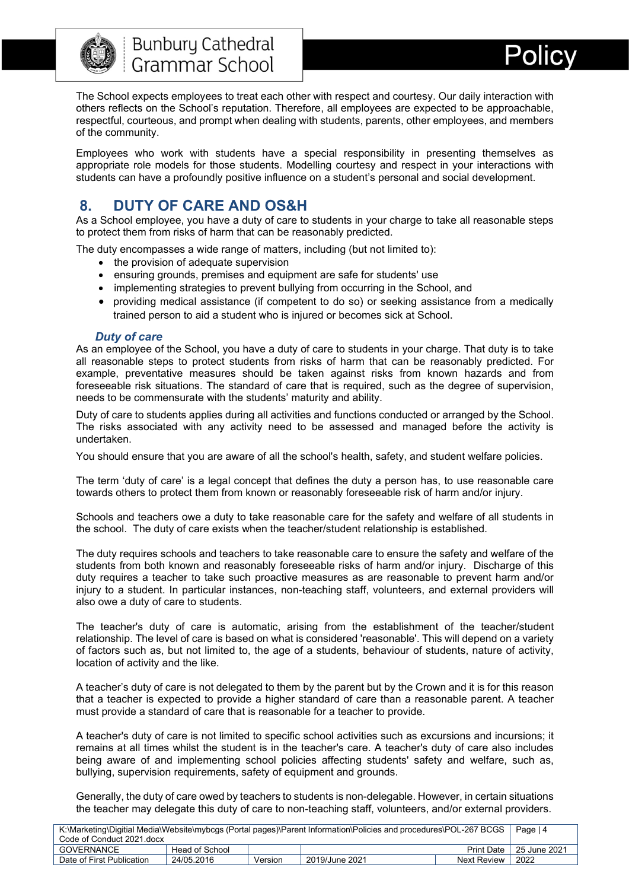

The School expects employees to treat each other with respect and courtesy. Our daily interaction with others reflects on the School's reputation. Therefore, all employees are expected to be approachable, respectful, courteous, and prompt when dealing with students, parents, other employees, and members of the community.

Employees who work with students have a special responsibility in presenting themselves as appropriate role models for those students. Modelling courtesy and respect in your interactions with students can have a profoundly positive influence on a student's personal and social development.

## <span id="page-4-0"></span>**8. DUTY OF CARE AND OS&H**

As a School employee, you have a duty of care to students in your charge to take all reasonable steps to protect them from risks of harm that can be reasonably predicted.

The duty encompasses a wide range of matters, including (but not limited to):

- the provision of adequate supervision
- ensuring grounds, premises and equipment are safe for students' use
- implementing strategies to prevent bullying from occurring in the School, and
- providing medical assistance (if competent to do so) or seeking assistance from a medically trained person to aid a student who is injured or becomes sick at School.

#### *Duty of care*

<span id="page-4-1"></span>As an employee of the School, you have a duty of care to students in your charge. That duty is to take all reasonable steps to protect students from risks of harm that can be reasonably predicted. For example, preventative measures should be taken against risks from known hazards and from foreseeable risk situations. The standard of care that is required, such as the degree of supervision, needs to be commensurate with the students' maturity and ability.

Duty of care to students applies during all activities and functions conducted or arranged by the School. The risks associated with any activity need to be assessed and managed before the activity is undertaken.

You should ensure that you are aware of all the school's health, safety, and student welfare policies.

The term 'duty of care' is a legal concept that defines the duty a person has, to use reasonable care towards others to protect them from known or reasonably foreseeable risk of harm and/or injury.

Schools and teachers owe a duty to take reasonable care for the safety and welfare of all students in the school. The duty of care exists when the teacher/student relationship is established.

The duty requires schools and teachers to take reasonable care to ensure the safety and welfare of the students from both known and reasonably foreseeable risks of harm and/or injury. Discharge of this duty requires a teacher to take such proactive measures as are reasonable to prevent harm and/or injury to a student. In particular instances, non-teaching staff, volunteers, and external providers will also owe a duty of care to students.

The teacher's duty of care is automatic, arising from the establishment of the teacher/student relationship. The level of care is based on what is considered 'reasonable'. This will depend on a variety of factors such as, but not limited to, the age of a students, behaviour of students, nature of activity, location of activity and the like.

A teacher's duty of care is not delegated to them by the parent but by the Crown and it is for this reason that a teacher is expected to provide a higher standard of care than a reasonable parent. A teacher must provide a standard of care that is reasonable for a teacher to provide.

A teacher's duty of care is not limited to specific school activities such as excursions and incursions; it remains at all times whilst the student is in the teacher's care. A teacher's duty of care also includes being aware of and implementing school policies affecting students' safety and welfare, such as, bullying, supervision requirements, safety of equipment and grounds.

Generally, the duty of care owed by teachers to students is non-delegable. However, in certain situations the teacher may delegate this duty of care to non-teaching staff, volunteers, and/or external providers.

| K:\Marketing\Digitial Media\Website\mybcgs (Portal pages)\Parent Information\Policies and procedures\POL-267 BCGS |                |         |                |             |                           |
|-------------------------------------------------------------------------------------------------------------------|----------------|---------|----------------|-------------|---------------------------|
| Code of Conduct 2021.docx                                                                                         |                |         |                |             |                           |
| GOVERNANCE                                                                                                        | Head of School |         |                |             | Print Date   25 June 2021 |
| Date of First Publication                                                                                         | 24/05.2016     | Version | 2019/June 2021 | Next Review | 2022                      |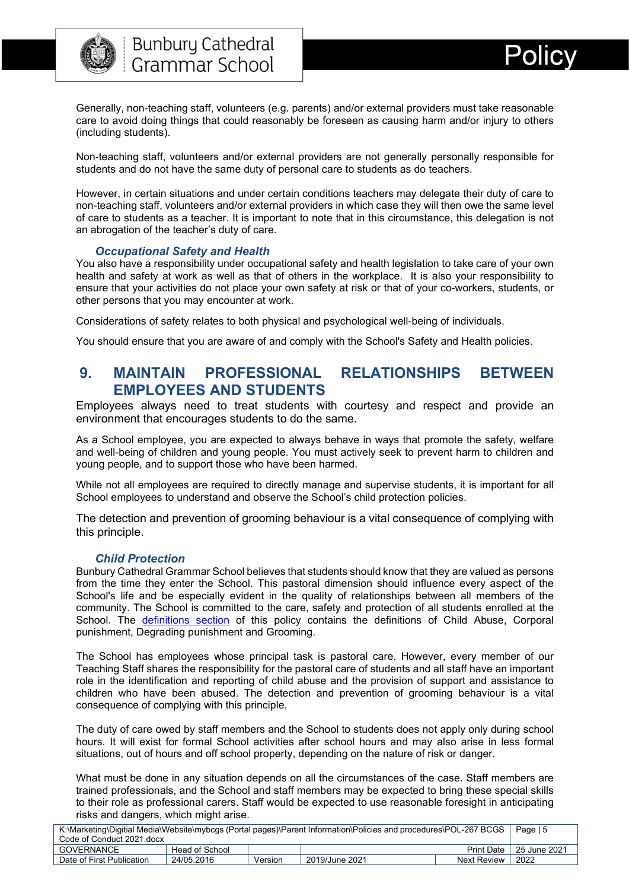

Generally, non-teaching staff, volunteers (e.g. parents) and/or external providers must take reasonable care to avoid doing things that could reasonably be foreseen as causing harm and/or injury to others (including students).

Non-teaching staff, volunteers and/or external providers are not generally personally responsible for students and do not have the same duty of personal care to students as do teachers.

However, in certain situations and under certain conditions teachers may delegate their duty of care to non-teaching staff, volunteers and/or external providers in which case they will then owe the same level of care to students as a teacher. It is important to note that in this circumstance, this delegation is not an abrogation of the teacher's duty of care.

#### *Occupational Safety and Health*

<span id="page-5-0"></span>You also have a responsibility under occupational safety and health legislation to take care of your own health and safety at work as well as that of others in the workplace. It is also your responsibility to ensure that your activities do not place your own safety at risk or that of your co-workers, students, or other persons that you may encounter at work.

Considerations of safety relates to both physical and psychological well-being of individuals.

You should ensure that you are aware of and comply with the School's Safety and Health policies.

#### <span id="page-5-1"></span>**9. MAINTAIN PROFESSIONAL RELATIONSHIPS BETWEEN EMPLOYEES AND STUDENTS**

Employees always need to treat students with courtesy and respect and provide an environment that encourages students to do the same.

As a School employee, you are expected to always behave in ways that promote the safety, welfare and well-being of children and young people. You must actively seek to prevent harm to children and young people, and to support those who have been harmed.

While not all employees are required to directly manage and supervise students, it is important for all School employees to understand and observe the [School's child protection policies.](https://www.det.nsw.edu.au/policiesinter/category/search.do;jsessionid=996b1e21bc27d844859b076404e91c6a52b3e8a22d7.e34Sa3ePc30Sbi0LbxuPax0KbxuSe0;jsessionid=996b1e21bc27d844859b076404e91c6a52b3e8a22d7.e34Sa3ePc30Sbi0LbxuPax0KbxuSe0?level=Schools&categories=Schools|Wellbeing|Child+protection)

The detection and prevention of grooming behaviour is a vital consequence of complying with this principle.

#### *Child Protection*

<span id="page-5-2"></span>Bunbury Cathedral Grammar School believes that students should know that they are valued as persons from the time they enter the School. This pastoral dimension should influence every aspect of the School's life and be especially evident in the quality of relationships between all members of the community. The School is committed to the care, safety and protection of all students enrolled at the School. The [definitions section](#page-11-2) of this policy contains the definitions of Child Abuse, Corporal punishment, Degrading punishment and Grooming.

The School has employees whose principal task is pastoral care. However, every member of our Teaching Staff shares the responsibility for the pastoral care of students and all staff have an important role in the identification and reporting of child abuse and the provision of support and assistance to children who have been abused. The detection and prevention of grooming behaviour is a vital consequence of complying with this principle.

The duty of care owed by staff members and the School to students does not apply only during school hours. It will exist for formal School activities after school hours and may also arise in less formal situations, out of hours and off school property, depending on the nature of risk or danger.

What must be done in any situation depends on all the circumstances of the case. Staff members are trained professionals, and the School and staff members may be expected to bring these special skills to their role as professional carers. Staff would be expected to use reasonable foresight in anticipating risks and dangers, which might arise.

| K:\Marketing\Digitial Media\Website\mybcgs (Portal pages)\Parent Information\Policies and procedures\POL-267 BCGS |                |         |                |              |      |
|-------------------------------------------------------------------------------------------------------------------|----------------|---------|----------------|--------------|------|
| Code of Conduct 2021 docx                                                                                         |                |         |                |              |      |
| GOVERNANCE                                                                                                        | Head of School |         |                | 25 June 2021 |      |
| Date of First Publication                                                                                         | 24/05.2016     | Version | 2019/June 2021 | Next Review  | 2022 |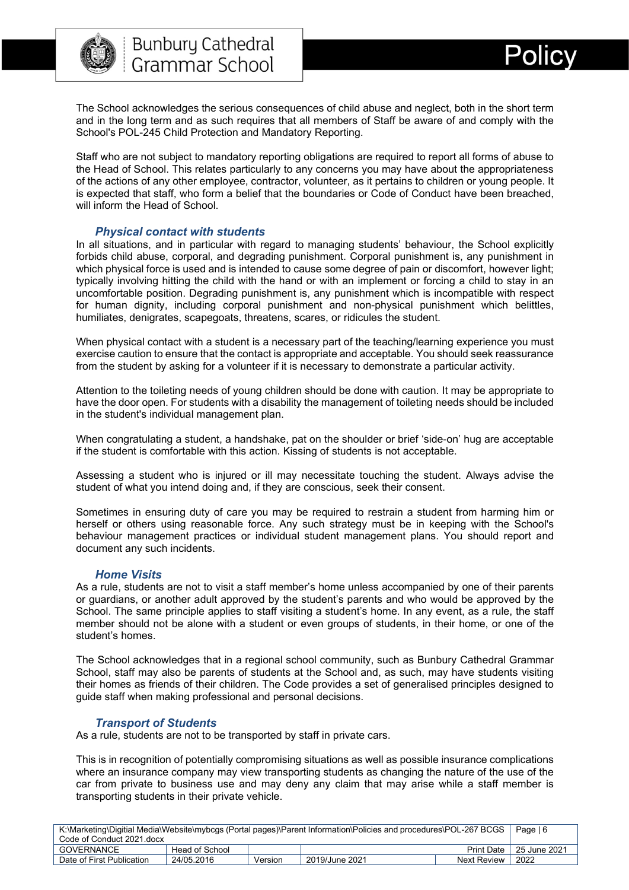

The School acknowledges the serious consequences of child abuse and neglect, both in the short term and in the long term and as such requires that all members of Staff be aware of and comply with the School's POL-245 Child Protection and Mandatory Reporting.

Staff who are not subject to mandatory reporting obligations are required to report all forms of abuse to the Head of School. This relates particularly to any concerns you may have about the appropriateness of the actions of any other employee, contractor, volunteer, as it pertains to children or young people. It is expected that staff, who form a belief that the boundaries or Code of Conduct have been breached, will inform the Head of School.

#### *Physical contact with students*

<span id="page-6-0"></span>In all situations, and in particular with regard to managing students' behaviour, the School explicitly forbids child abuse, corporal, and degrading punishment. Corporal punishment is, any punishment in which physical force is used and is intended to cause some degree of pain or discomfort, however light; typically involving hitting the child with the hand or with an implement or forcing a child to stay in an uncomfortable position. Degrading punishment is, any punishment which is incompatible with respect for human dignity, including corporal punishment and non-physical punishment which belittles, humiliates, denigrates, scapegoats, threatens, scares, or ridicules the student.

When physical contact with a student is a necessary part of the teaching/learning experience you must exercise caution to ensure that the contact is appropriate and acceptable. You should seek reassurance from the student by asking for a volunteer if it is necessary to demonstrate a particular activity.

Attention to the toileting needs of young children should be done with caution. It may be appropriate to have the door open. For students with a disability the management of toileting needs should be included in the student's individual management plan.

When congratulating a student, a handshake, pat on the shoulder or brief 'side-on' hug are acceptable if the student is comfortable with this action. Kissing of students is not acceptable.

Assessing a student who is injured or ill may necessitate touching the student. Always advise the student of what you intend doing and, if they are conscious, seek their consent.

Sometimes in ensuring duty of care you may be required to restrain a student from harming him or herself or others using reasonable force. Any such strategy must be in keeping with the School's behaviour management practices or individual student management plans. You should report and document any such incidents.

#### *Home Visits*

<span id="page-6-1"></span>As a rule, students are not to visit a staff member's home unless accompanied by one of their parents or guardians, or another adult approved by the student's parents and who would be approved by the School. The same principle applies to staff visiting a student's home. In any event, as a rule, the staff member should not be alone with a student or even groups of students, in their home, or one of the student's homes.

The School acknowledges that in a regional school community, such as Bunbury Cathedral Grammar School, staff may also be parents of students at the School and, as such, may have students visiting their homes as friends of their children. The Code provides a set of generalised principles designed to guide staff when making professional and personal decisions.

#### *Transport of Students*

<span id="page-6-2"></span>As a rule, students are not to be transported by staff in private cars.

This is in recognition of potentially compromising situations as well as possible insurance complications where an insurance company may view transporting students as changing the nature of the use of the car from private to business use and may deny any claim that may arise while a staff member is transporting students in their private vehicle.

| K:\Marketing\Digitial Media\Website\mybcgs (Portal pages)\Parent Information\Policies and procedures\POL-267 BCGS |                |         |                |             |                           |
|-------------------------------------------------------------------------------------------------------------------|----------------|---------|----------------|-------------|---------------------------|
| Code of Conduct 2021.docx                                                                                         |                |         |                |             |                           |
| <b>GOVERNANCE</b>                                                                                                 | Head of School |         |                |             | Print Date   25 June 2021 |
| Date of First Publication                                                                                         | 24/05.2016     | Version | 2019/June 2021 | Next Review | 2022                      |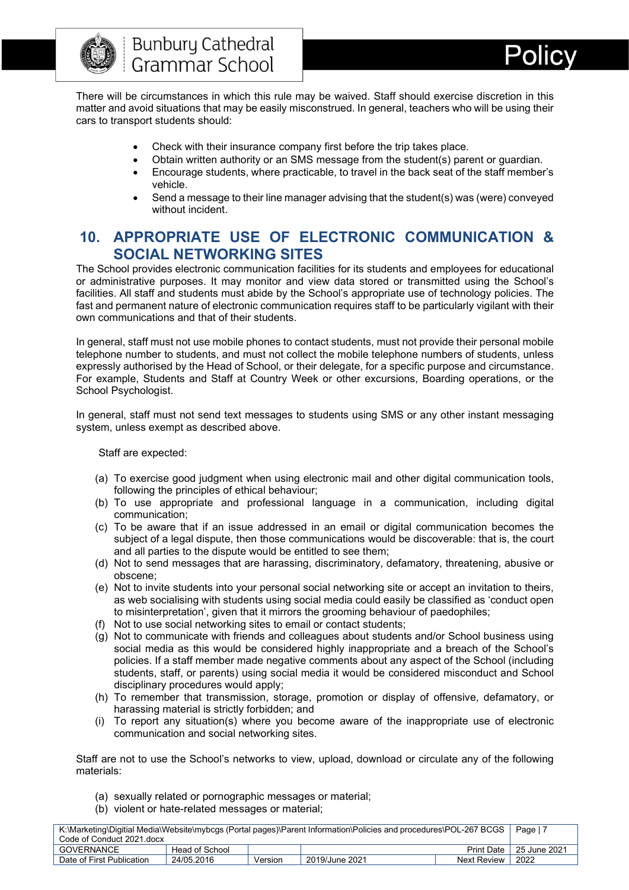

There will be circumstances in which this rule may be waived. Staff should exercise discretion in this matter and avoid situations that may be easily misconstrued. In general, teachers who will be using their cars to transport students should:

- Check with their insurance company first before the trip takes place.
- Obtain written authority or an SMS message from the student(s) parent or guardian.
- Encourage students, where practicable, to travel in the back seat of the staff member's vehicle.
- Send a message to their line manager advising that the student(s) was (were) conveyed without incident.

## <span id="page-7-0"></span>**10. APPROPRIATE USE OF ELECTRONIC COMMUNICATION & SOCIAL NETWORKING SITES**

The School provides electronic communication facilities for its students and employees for educational or administrative purposes. It may monitor and view data stored or transmitted using the School's facilities. All staff and students must abide by the School's appropriate use of technology policies. The fast and permanent nature of electronic communication requires staff to be particularly vigilant with their own communications and that of their students.

In general, staff must not use mobile phones to contact students, must not provide their personal mobile telephone number to students, and must not collect the mobile telephone numbers of students, unless expressly authorised by the Head of School, or their delegate, for a specific purpose and circumstance. For example, Students and Staff at Country Week or other excursions, Boarding operations, or the School Psychologist.

In general, staff must not send text messages to students using SMS or any other instant messaging system, unless exempt as described above.

Staff are expected:

- (a) To exercise good judgment when using electronic mail and other digital communication tools, following the principles of ethical behaviour;
- (b) To use appropriate and professional language in a communication, including digital communication;
- (c) To be aware that if an issue addressed in an email or digital communication becomes the subject of a legal dispute, then those communications would be discoverable: that is, the court and all parties to the dispute would be entitled to see them;
- (d) Not to send messages that are harassing, discriminatory, defamatory, threatening, abusive or obscene;
- (e) Not to invite students into your personal social networking site or accept an invitation to theirs, as web socialising with students using social media could easily be classified as 'conduct open to misinterpretation', given that it mirrors the grooming behaviour of paedophiles;
- (f) Not to use social networking sites to email or contact students;
- (g) Not to communicate with friends and colleagues about students and/or School business using social media as this would be considered highly inappropriate and a breach of the School's policies. If a staff member made negative comments about any aspect of the School (including students, staff, or parents) using social media it would be considered misconduct and School disciplinary procedures would apply;
- (h) To remember that transmission, storage, promotion or display of offensive, defamatory, or harassing material is strictly forbidden; and
- (i) To report any situation(s) where you become aware of the inappropriate use of electronic communication and social networking sites.

Staff are not to use the School's networks to view, upload, download or circulate any of the following materials:

- (a) sexually related or pornographic messages or material;
- (b) violent or hate-related messages or material;

| K:\Marketing\Digitial Media\Website\mybcgs (Portal pages)\Parent Information\Policies and procedures\POL-267 BCGS |                |         |                |              |              |
|-------------------------------------------------------------------------------------------------------------------|----------------|---------|----------------|--------------|--------------|
| Code of Conduct 2021 docx                                                                                         |                |         |                |              |              |
| <b>GOVERNANCE</b>                                                                                                 | Head of School |         |                | Print Date I | 25 June 2021 |
| Date of First Publication                                                                                         | 24/05.2016     | Version | 2019/June 2021 | Next Review  | 2022         |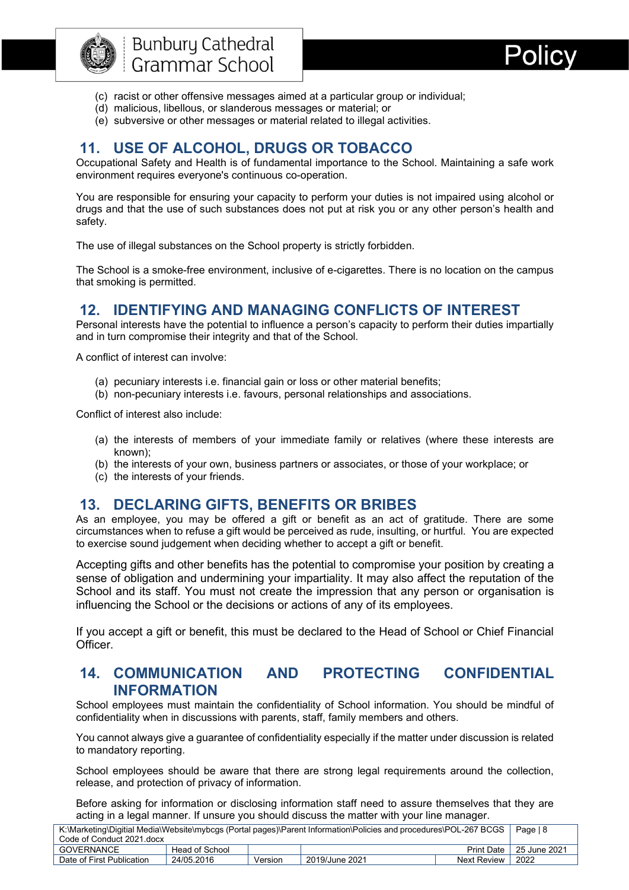



- (c) racist or other offensive messages aimed at a particular group or individual;
- (d) malicious, libellous, or slanderous messages or material; or
- (e) subversive or other messages or material related to illegal activities.

## <span id="page-8-0"></span>**11. USE OF ALCOHOL, DRUGS OR TOBACCO**

Occupational Safety and Health is of fundamental importance to the School. Maintaining a safe work environment requires everyone's continuous co-operation.

You are responsible for ensuring your capacity to perform your duties is not impaired using alcohol or drugs and that the use of such substances does not put at risk you or any other person's health and safety.

The use of illegal substances on the School property is strictly forbidden.

The School is a smoke-free environment, inclusive of e-cigarettes. There is no location on the campus that smoking is permitted.

## <span id="page-8-1"></span>**12. IDENTIFYING AND MANAGING CONFLICTS OF INTEREST**

Personal interests have the potential to influence a person's capacity to perform their duties impartially and in turn compromise their integrity and that of the School.

A conflict of interest can involve:

- (a) pecuniary interests i.e. financial gain or loss or other material benefits;
- (b) non-pecuniary interests i.e. favours, personal relationships and associations.

Conflict of interest also include:

- (a) the interests of members of your immediate family or relatives (where these interests are known);
- (b) the interests of your own, business partners or associates, or those of your workplace; or
- (c) the interests of your friends.

## <span id="page-8-2"></span>**13. DECLARING GIFTS, BENEFITS OR BRIBES**

As an employee, you may be offered a gift or benefit as an act of gratitude. There are some circumstances when to refuse a gift would be perceived as rude, insulting, or hurtful. You are expected to exercise sound judgement when deciding whether to accept a gift or benefit.

Accepting gifts and other benefits has the potential to compromise your position by creating a sense of obligation and undermining your impartiality. It may also affect the reputation of the School and its staff. You must not create the impression that any person or organisation is influencing the School or the decisions or actions of any of its employees.

If you accept a gift or benefit, this must be declared to the Head of School or Chief Financial **Officer** 

### <span id="page-8-3"></span>**14. COMMUNICATION AND PROTECTING CONFIDENTIAL INFORMATION**

School employees must maintain the confidentiality of School information. You should be mindful of confidentiality when in discussions with parents, staff, family members and others.

You cannot always give a guarantee of confidentiality especially if the matter under discussion is related to mandatory reporting.

School employees should be aware that there are strong legal requirements around the collection, release, and protection of privacy of information.

Before asking for information or disclosing information staff need to assure themselves that they are acting in a legal manner. If unsure you should discuss the matter with your line manager.

| K:\Marketing\Digitial Media\Website\mybcgs (Portal pages)\Parent Information\Policies and procedures\POL-267 BCGS |                |         |                |                           |      |
|-------------------------------------------------------------------------------------------------------------------|----------------|---------|----------------|---------------------------|------|
| Code of Conduct 2021 docx                                                                                         |                |         |                |                           |      |
| GOVERNANCE                                                                                                        | Head of School |         |                | Print Date   25 June 2021 |      |
| Date of First Publication                                                                                         | 24/05.2016     | Version | 2019/June 2021 | Next Review               | 2022 |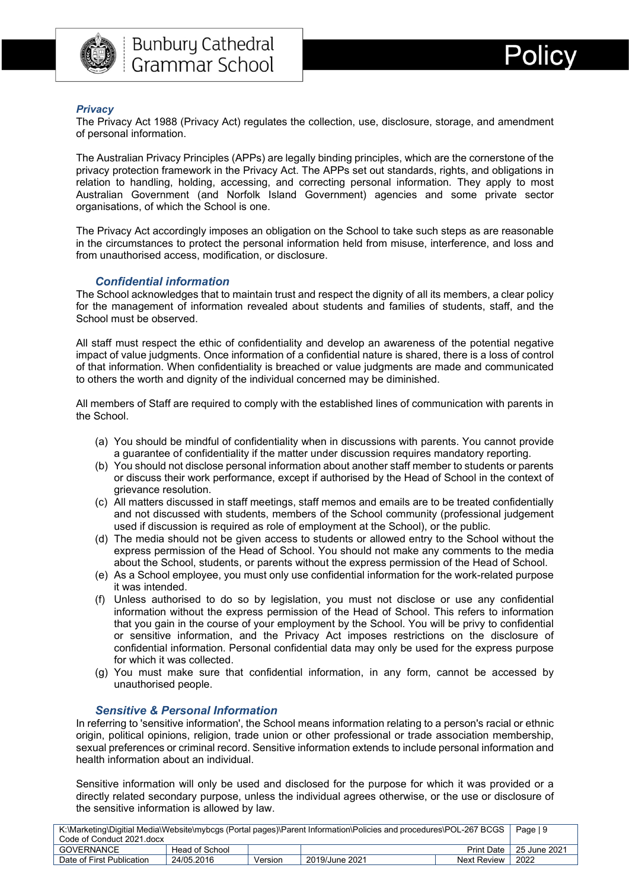



#### <span id="page-9-0"></span>*Privacy*

The Privacy Act 1988 (Privacy Act) regulates the collection, use, disclosure, storage, and amendment of personal information.

The Australian Privacy Principles (APPs) are legally binding principles, which are the cornerstone of the privacy protection framework in the Privacy Act. The APPs set out standards, rights, and obligations in relation to handling, holding, accessing, and correcting personal information. They apply to most Australian Government (and Norfolk Island Government) agencies and some private sector organisations, of which the School is one.

The Privacy Act accordingly imposes an obligation on the School to take such steps as are reasonable in the circumstances to protect the personal information held from misuse, interference, and loss and from unauthorised access, modification, or disclosure.

#### *Confidential information*

<span id="page-9-1"></span>The School acknowledges that to maintain trust and respect the dignity of all its members, a clear policy for the management of information revealed about students and families of students, staff, and the School must be observed.

All staff must respect the ethic of confidentiality and develop an awareness of the potential negative impact of value judgments. Once information of a confidential nature is shared, there is a loss of control of that information. When confidentiality is breached or value judgments are made and communicated to others the worth and dignity of the individual concerned may be diminished.

All members of Staff are required to comply with the established lines of communication with parents in the School.

- (a) You should be mindful of confidentiality when in discussions with parents. You cannot provide a guarantee of confidentiality if the matter under discussion requires mandatory reporting.
- (b) You should not disclose personal information about another staff member to students or parents or discuss their work performance, except if authorised by the Head of School in the context of grievance resolution.
- (c) All matters discussed in staff meetings, staff memos and emails are to be treated confidentially and not discussed with students, members of the School community (professional judgement used if discussion is required as role of employment at the School), or the public.
- (d) The media should not be given access to students or allowed entry to the School without the express permission of the Head of School. You should not make any comments to the media about the School, students, or parents without the express permission of the Head of School.
- (e) As a School employee, you must only use confidential information for the work-related purpose it was intended.
- (f) Unless authorised to do so by legislation, you must not disclose or use any confidential information without the express permission of the Head of School. This refers to information that you gain in the course of your employment by the School. You will be privy to confidential or sensitive information, and the Privacy Act imposes restrictions on the disclosure of confidential information. Personal confidential data may only be used for the express purpose for which it was collected.
- (g) You must make sure that confidential information, in any form, cannot be accessed by unauthorised people.

#### *Sensitive & Personal Information*

<span id="page-9-2"></span>In referring to 'sensitive information', the School means information relating to a person's racial or ethnic origin, political opinions, religion, trade union or other professional or trade association membership, sexual preferences or criminal record. Sensitive information extends to include personal information and health information about an individual.

Sensitive information will only be used and disclosed for the purpose for which it was provided or a directly related secondary purpose, unless the individual agrees otherwise, or the use or disclosure of the sensitive information is allowed by law.

| K:\Marketing\Digitial Media\Website\mybcgs (Portal pages)\Parent Information\Policies and procedures\POL-267 BCGS |                |         |                |              |              |
|-------------------------------------------------------------------------------------------------------------------|----------------|---------|----------------|--------------|--------------|
| Code of Conduct 2021 docx                                                                                         |                |         |                |              |              |
| GOVERNANCE                                                                                                        | Head of School |         |                | Print Date I | 25 June 2021 |
| Date of First Publication                                                                                         | 24/05.2016     | Version | 2019/June 2021 | Next Review  | 2022         |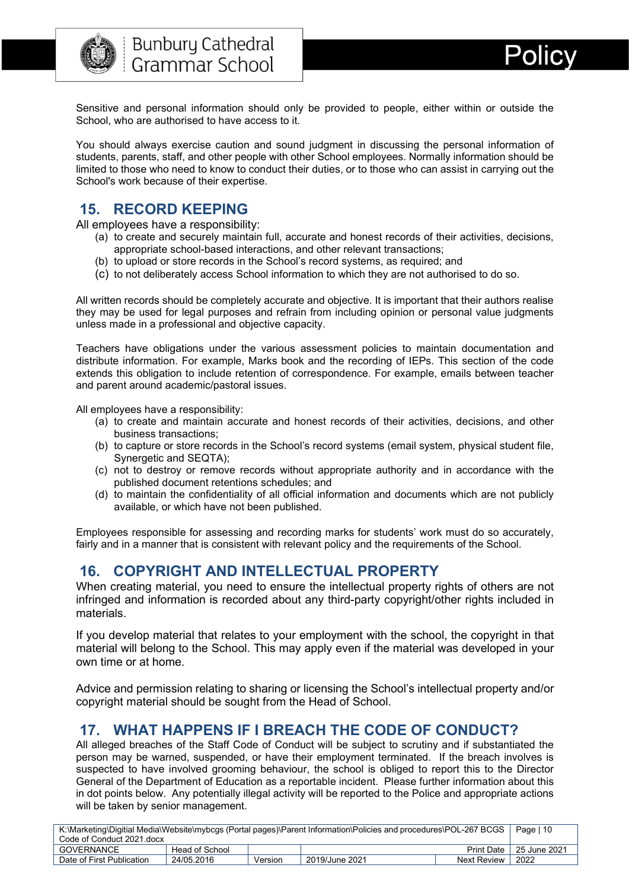

Sensitive and personal information should only be provided to people, either within or outside the School, who are authorised to have access to it.

You should always exercise caution and sound judgment in discussing the personal information of students, parents, staff, and other people with other School employees. Normally information should be limited to those who need to know to conduct their duties, or to those who can assist in carrying out the School's work because of their expertise.

## <span id="page-10-0"></span>**15. RECORD KEEPING**

All employees have a responsibility:

- (a) to create and securely maintain full, accurate and honest records of their activities, decisions, appropriate school-based interactions, and other relevant transactions;
- (b) to upload or store records in the School's record systems, as required; and
- (c) to not deliberately access School information to which they are not authorised to do so.

All written records should be completely accurate and objective. It is important that their authors realise they may be used for legal purposes and refrain from including opinion or personal value judgments unless made in a professional and objective capacity.

Teachers have obligations under the various assessment policies to maintain documentation and distribute information. For example, Marks book and the recording of IEPs. This section of the code extends this obligation to include retention of correspondence. For example, emails between teacher and parent around academic/pastoral issues.

All employees have a responsibility:

- (a) to create and maintain accurate and honest records of their activities, decisions, and other business transactions;
- (b) to capture or store records in the School's record systems (email system, physical student file, Synergetic and SEQTA);
- (c) not to destroy or remove records without appropriate authority and in accordance with the published document retentions schedules; and
- (d) to maintain the confidentiality of all official information and documents which are not publicly available, or which have not been published.

Employees responsible for assessing and recording marks for students' work must do so accurately, fairly and in a manner that is consistent with relevant policy and the requirements of the School.

## <span id="page-10-1"></span>**16. COPYRIGHT AND INTELLECTUAL PROPERTY**

When creating material, you need to ensure the intellectual property rights of others are not infringed and information is recorded about any third-party copyright/other rights included in materials.

If you develop material that relates to your employment with the school, the copyright in that material will belong to the School. This may apply even if the material was developed in your own time or at home.

Advice and permission relating to sharing or licensing the School's intellectual property and/or copyright material should be sought from the Head of School.

#### <span id="page-10-2"></span>**17. WHAT HAPPENS IF I BREACH THE CODE OF CONDUCT?**

All alleged breaches of the Staff Code of Conduct will be subject to scrutiny and if substantiated the person may be warned, suspended, or have their employment terminated. If the breach involves is suspected to have involved grooming behaviour, the school is obliged to report this to the Director General of the Department of Education as a reportable incident. Please further information about this in dot points below. Any potentially illegal activity will be reported to the Police and appropriate actions will be taken by senior management.

| K:\Marketing\Digitial Media\Website\mybcgs (Portal pages)\Parent Information\Policies and procedures\POL-267 BCGS |                |         |                |             |                           |
|-------------------------------------------------------------------------------------------------------------------|----------------|---------|----------------|-------------|---------------------------|
| Code of Conduct 2021.docx                                                                                         |                |         |                |             |                           |
| GOVERNANCE                                                                                                        | Head of School |         |                |             | Print Date   25 June 2021 |
| Date of First Publication                                                                                         | 24/05.2016     | Version | 2019/June 2021 | Next Review | 2022                      |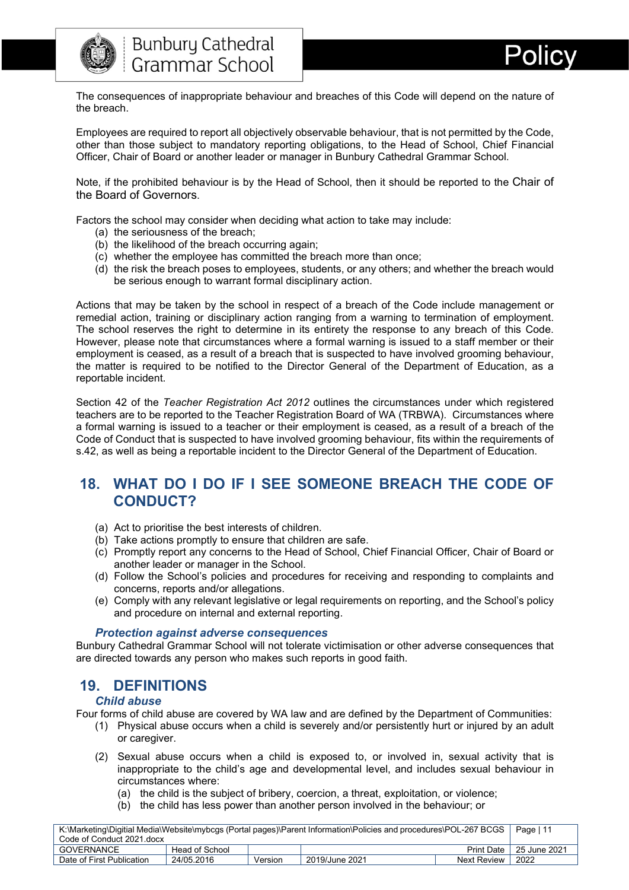

The consequences of inappropriate behaviour and breaches of this Code will depend on the nature of the breach.

Employees are required to report all objectively observable behaviour, that is not permitted by the Code, other than those subject to mandatory reporting obligations, to the Head of School, Chief Financial Officer, Chair of Board or another leader or manager in Bunbury Cathedral Grammar School.

Note, if the prohibited behaviour is by the Head of School, then it should be reported to the Chair of the Board of Governors.

Factors the school may consider when deciding what action to take may include:

- (a) the seriousness of the breach;
- (b) the likelihood of the breach occurring again;
- (c) whether the employee has committed the breach more than once;
- (d) the risk the breach poses to employees, students, or any others; and whether the breach would be serious enough to warrant formal disciplinary action.

Actions that may be taken by the school in respect of a breach of the Code include management or remedial action, training or disciplinary action ranging from a warning to termination of employment. The school reserves the right to determine in its entirety the response to any breach of this Code. However, please note that circumstances where a formal warning is issued to a staff member or their employment is ceased, as a result of a breach that is suspected to have involved grooming behaviour, the matter is required to be notified to the Director General of the Department of Education, as a reportable incident.

Section 42 of the *Teacher Registration Act 2012* outlines the circumstances under which registered teachers are to be reported to the Teacher Registration Board of WA (TRBWA). Circumstances where a formal warning is issued to a teacher or their employment is ceased, as a result of a breach of the Code of Conduct that is suspected to have involved grooming behaviour, fits within the requirements of s.42, as well as being a reportable incident to the Director General of the Department of Education.

## <span id="page-11-0"></span>**18. WHAT DO I DO IF I SEE SOMEONE BREACH THE CODE OF CONDUCT?**

- (a) Act to prioritise the best interests of children.
- (b) Take actions promptly to ensure that children are safe.
- (c) Promptly report any concerns to the Head of School, Chief Financial Officer, Chair of Board or another leader or manager in the School.
- (d) Follow the School's policies and procedures for receiving and responding to complaints and concerns, reports and/or allegations.
- (e) Comply with any relevant legislative or legal requirements on reporting, and the School's policy and procedure on internal and external reporting.

#### *Protection against adverse consequences*

<span id="page-11-1"></span>Bunbury Cathedral Grammar School will not tolerate victimisation or other adverse consequences that are directed towards any person who makes such reports in good faith.

#### <span id="page-11-2"></span>**19. DEFINITIONS**

#### *Child abuse*

<span id="page-11-3"></span>Four forms of child abuse are covered by WA law and are defined by the Department of Communities:

- (1) Physical abuse occurs when a child is severely and/or persistently hurt or injured by an adult or caregiver.
- (2) Sexual abuse occurs when a child is exposed to, or involved in, sexual activity that is inappropriate to the child's age and developmental level, and includes sexual behaviour in circumstances where:
	- (a) the child is the subject of bribery, coercion, a threat, exploitation, or violence;
	- (b) the child has less power than another person involved in the behaviour; or

| K:\Marketing\Digitial Media\Website\mybcgs (Portal pages)\Parent Information\Policies and procedures\POL-267 BCGS   Page   11 |                |         |                |                             |      |
|-------------------------------------------------------------------------------------------------------------------------------|----------------|---------|----------------|-----------------------------|------|
| Code of Conduct 2021 docx                                                                                                     |                |         |                |                             |      |
| GOVERNANCE                                                                                                                    | Head of School |         |                | Print Date   $25$ June 2021 |      |
| Date of First Publication                                                                                                     | 24/05.2016     | Version | 2019/June 2021 | Next Review                 | 2022 |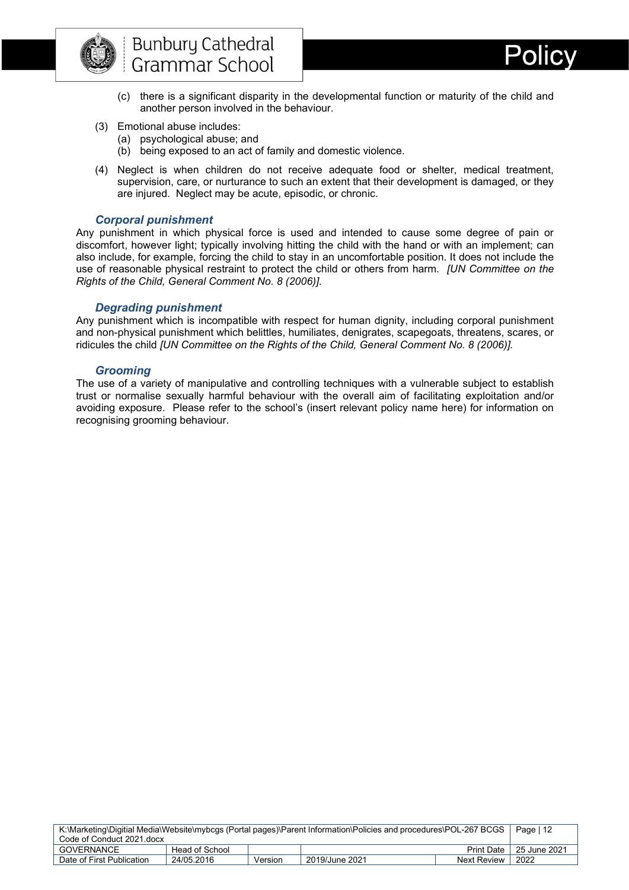

- 
- (c) there is a significant disparity in the developmental function or maturity of the child and another person involved in the behaviour.
- (3) Emotional abuse includes:
	- (a) psychological abuse; and
	- (b) being exposed to an act of family and domestic violence.
- (4) Neglect is when children do not receive adequate food or shelter, medical treatment, supervision, care, or nurturance to such an extent that their development is damaged, or they are injured. Neglect may be acute, episodic, or chronic.

#### *Corporal punishment*

<span id="page-12-0"></span>Any punishment in which physical force is used and intended to cause some degree of pain or discomfort, however light; typically involving hitting the child with the hand or with an implement; can also include, for example, forcing the child to stay in an uncomfortable position. It does not include the use of reasonable physical restraint to protect the child or others from harm. *[UN Committee on the Rights of the Child, General Comment No. 8 (2006)].*

#### *Degrading punishment*

<span id="page-12-1"></span>Any punishment which is incompatible with respect for human dignity, including corporal punishment and non-physical punishment which belittles, humiliates, denigrates, scapegoats, threatens, scares, or ridicules the child *[UN Committee on the Rights of the Child, General Comment No. 8 (2006)].*

#### *Grooming*

<span id="page-12-2"></span>The use of a variety of manipulative and controlling techniques with a vulnerable subject to establish trust or normalise sexually harmful behaviour with the overall aim of facilitating exploitation and/or avoiding exposure. Please refer to the school's (insert relevant policy name here) for information on recognising grooming behaviour.

| K:\Marketing\Digitial Media\Website\mybcgs (Portal pages)\Parent Information\Policies and procedures\POL-267 BCGS |                |         |                | Page   12   |                           |
|-------------------------------------------------------------------------------------------------------------------|----------------|---------|----------------|-------------|---------------------------|
| Code of Conduct 2021 docx                                                                                         |                |         |                |             |                           |
| GOVERNANCE                                                                                                        | Head of School |         |                |             | Print Date   25 June 2021 |
| Date of First Publication                                                                                         | 24/05.2016     | Version | 2019/June 2021 | Next Review | 2022                      |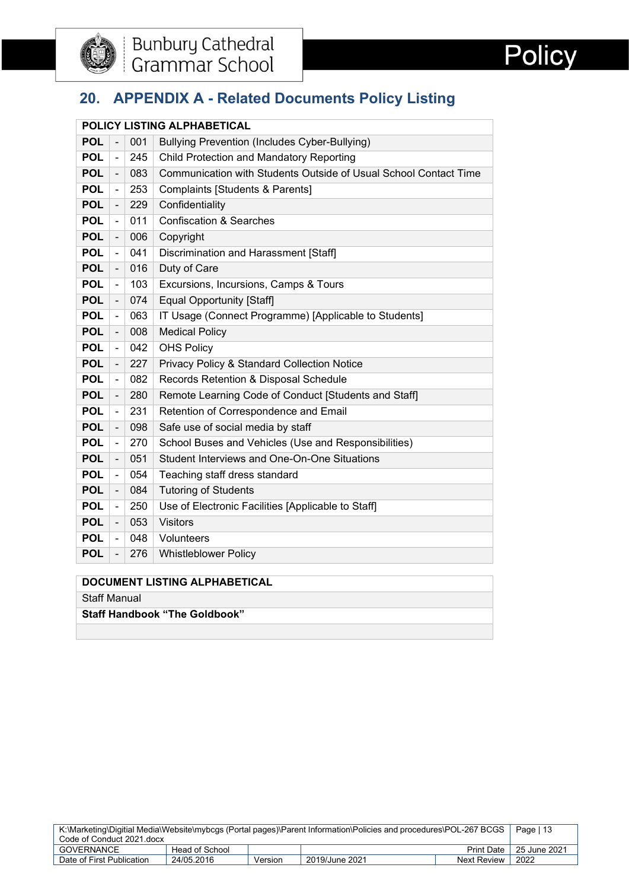



## <span id="page-13-0"></span>**20. APPENDIX A - Related Documents Policy Listing**

|            |                          |     | POLICY LISTING ALPHABETICAL                                      |
|------------|--------------------------|-----|------------------------------------------------------------------|
| <b>POL</b> | $\overline{a}$           | 001 | Bullying Prevention (Includes Cyber-Bullying)                    |
| <b>POL</b> | $\blacksquare$           | 245 | Child Protection and Mandatory Reporting                         |
| <b>POL</b> | $\overline{\phantom{a}}$ | 083 | Communication with Students Outside of Usual School Contact Time |
| <b>POL</b> | $\blacksquare$           | 253 | <b>Complaints [Students &amp; Parents]</b>                       |
| <b>POL</b> | $\overline{\phantom{a}}$ | 229 | Confidentiality                                                  |
| <b>POL</b> | $\frac{1}{2}$            | 011 | <b>Confiscation &amp; Searches</b>                               |
| <b>POL</b> | $\overline{\phantom{a}}$ | 006 | Copyright                                                        |
| <b>POL</b> | $\blacksquare$           | 041 | Discrimination and Harassment [Staff]                            |
| <b>POL</b> | $\overline{\phantom{a}}$ | 016 | Duty of Care                                                     |
| <b>POL</b> | $\blacksquare$           | 103 | Excursions, Incursions, Camps & Tours                            |
| <b>POL</b> | $\frac{1}{2}$            | 074 | <b>Equal Opportunity [Staff]</b>                                 |
| <b>POL</b> | $\blacksquare$           | 063 | IT Usage (Connect Programme) [Applicable to Students]            |
| <b>POL</b> | $\blacksquare$           | 008 | <b>Medical Policy</b>                                            |
| <b>POL</b> | $\blacksquare$           | 042 | <b>OHS Policy</b>                                                |
| <b>POL</b> |                          | 227 | Privacy Policy & Standard Collection Notice                      |
| <b>POL</b> | $\blacksquare$           | 082 | Records Retention & Disposal Schedule                            |
| <b>POL</b> | $\overline{\phantom{a}}$ | 280 | Remote Learning Code of Conduct [Students and Staff]             |
| <b>POL</b> | $\blacksquare$           | 231 | Retention of Correspondence and Email                            |
| <b>POL</b> | $\blacksquare$           | 098 | Safe use of social media by staff                                |
| <b>POL</b> | ÷,                       | 270 | School Buses and Vehicles (Use and Responsibilities)             |
| <b>POL</b> | $\overline{\phantom{a}}$ | 051 | Student Interviews and One-On-One Situations                     |
| <b>POL</b> | $\blacksquare$           | 054 | Teaching staff dress standard                                    |
| <b>POL</b> | $\blacksquare$           | 084 | <b>Tutoring of Students</b>                                      |
| <b>POL</b> | $\blacksquare$           | 250 | Use of Electronic Facilities [Applicable to Staff]               |
| <b>POL</b> | $\blacksquare$           | 053 | <b>Visitors</b>                                                  |
| <b>POL</b> | $\blacksquare$           | 048 | Volunteers                                                       |
| <b>POL</b> |                          | 276 | <b>Whistleblower Policy</b>                                      |
|            |                          |     | $\begin{array}{c} \hline \end{array}$                            |

#### **DOCUMENT LISTING ALPHABETICAL**

Staff Manual

**Staff Handbook "The Goldbook"**

| K:\Marketing\Digitial Media\Website\mybcgs (Portal pages)\Parent Information\Policies and procedures\POL-267 BCGS |                |  |  | Page $\vert$ 13 |                           |
|-------------------------------------------------------------------------------------------------------------------|----------------|--|--|-----------------|---------------------------|
| Code of Conduct 2021.docx                                                                                         |                |  |  |                 |                           |
| GOVERNANCE                                                                                                        | Head of School |  |  |                 | Print Date   25 June 2021 |
| 2022<br>24/05.2016<br>2019/June 2021<br>Date of First Publication<br>Next Review<br>Version                       |                |  |  |                 |                           |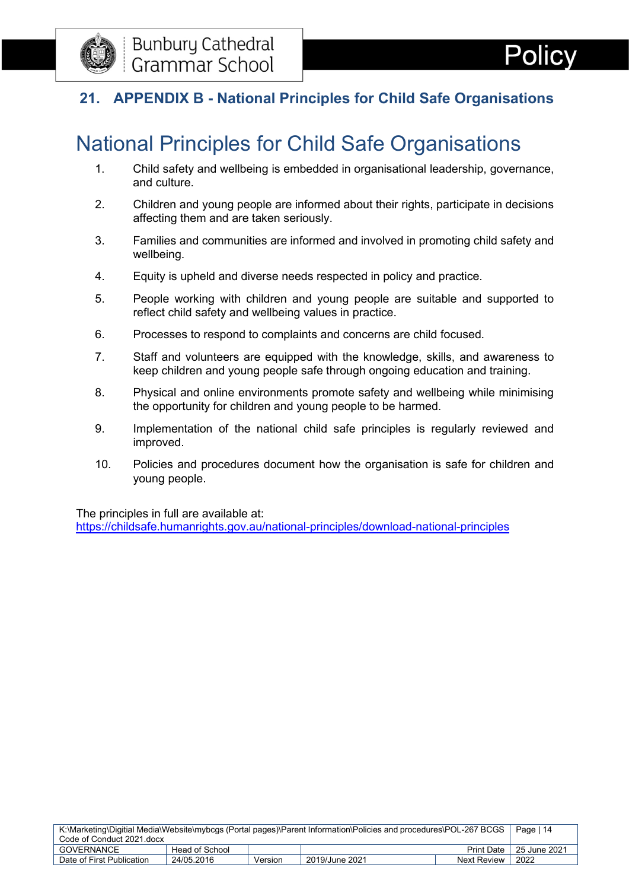

## <span id="page-14-0"></span>**21. APPENDIX B - National Principles for Child Safe Organisations**

# National Principles for Child Safe Organisations

- 1. Child safety and wellbeing is embedded in organisational leadership, governance, and culture.
- 2. Children and young people are informed about their rights, participate in decisions affecting them and are taken seriously.
- 3. Families and communities are informed and involved in promoting child safety and wellbeing.
- 4. Equity is upheld and diverse needs respected in policy and practice.
- 5. People working with children and young people are suitable and supported to reflect child safety and wellbeing values in practice.
- 6. Processes to respond to complaints and concerns are child focused.
- 7. Staff and volunteers are equipped with the knowledge, skills, and awareness to keep children and young people safe through ongoing education and training.
- 8. Physical and online environments promote safety and wellbeing while minimising the opportunity for children and young people to be harmed.
- 9. Implementation of the national child safe principles is regularly reviewed and improved.
- 10. Policies and procedures document how the organisation is safe for children and young people.

The principles in full are available at:

<https://childsafe.humanrights.gov.au/national-principles/download-national-principles>

| K:\Marketing\Digitial Media\Website\mybcgs (Portal pages)\Parent Information\Policies and procedures\POL-267 BCGS |                |         |                | Page   14    |              |
|-------------------------------------------------------------------------------------------------------------------|----------------|---------|----------------|--------------|--------------|
| Code of Conduct 2021.docx                                                                                         |                |         |                |              |              |
| GOVERNANCE                                                                                                        | Head of School |         |                | Print Date I | 25 June 2021 |
| Date of First Publication                                                                                         | 24/05.2016     | Version | 2019/June 2021 | Next Review  | 2022         |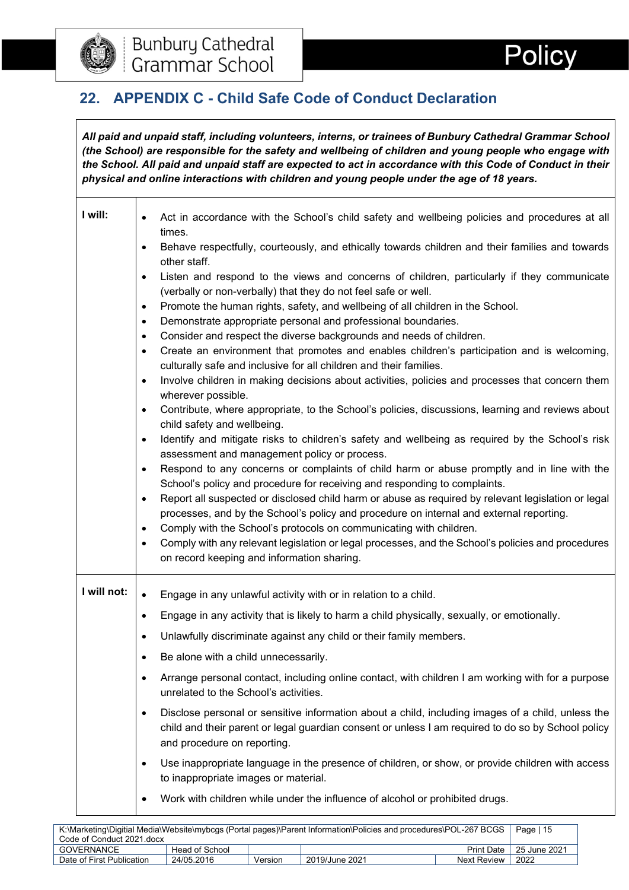

## <span id="page-15-0"></span>**22. APPENDIX C - Child Safe Code of Conduct Declaration**

*All paid and unpaid staff, including volunteers, interns, or trainees of Bunbury Cathedral Grammar School (the School) are responsible for the safety and wellbeing of children and young people who engage with the School. All paid and unpaid staff are expected to act in accordance with this Code of Conduct in their physical and online interactions with children and young people under the age of 18 years.*

| I will:     | Act in accordance with the School's child safety and wellbeing policies and procedures at all<br>$\bullet$<br>times.                                                                                                                                |
|-------------|-----------------------------------------------------------------------------------------------------------------------------------------------------------------------------------------------------------------------------------------------------|
|             | Behave respectfully, courteously, and ethically towards children and their families and towards<br>$\bullet$                                                                                                                                        |
|             | other staff.<br>Listen and respond to the views and concerns of children, particularly if they communicate<br>$\bullet$                                                                                                                             |
|             | (verbally or non-verbally) that they do not feel safe or well.                                                                                                                                                                                      |
|             | Promote the human rights, safety, and wellbeing of all children in the School.<br>$\bullet$                                                                                                                                                         |
|             | Demonstrate appropriate personal and professional boundaries.<br>$\bullet$                                                                                                                                                                          |
|             | Consider and respect the diverse backgrounds and needs of children.<br>$\bullet$                                                                                                                                                                    |
|             | Create an environment that promotes and enables children's participation and is welcoming,<br>$\bullet$<br>culturally safe and inclusive for all children and their families.                                                                       |
|             | Involve children in making decisions about activities, policies and processes that concern them<br>$\bullet$                                                                                                                                        |
|             | wherever possible.                                                                                                                                                                                                                                  |
|             | Contribute, where appropriate, to the School's policies, discussions, learning and reviews about<br>$\bullet$<br>child safety and wellbeing.                                                                                                        |
|             | Identify and mitigate risks to children's safety and wellbeing as required by the School's risk<br>$\bullet$                                                                                                                                        |
|             | assessment and management policy or process.                                                                                                                                                                                                        |
|             | Respond to any concerns or complaints of child harm or abuse promptly and in line with the<br>$\bullet$                                                                                                                                             |
|             | School's policy and procedure for receiving and responding to complaints.                                                                                                                                                                           |
|             | Report all suspected or disclosed child harm or abuse as required by relevant legislation or legal<br>$\bullet$<br>processes, and by the School's policy and procedure on internal and external reporting.                                          |
|             | Comply with the School's protocols on communicating with children.<br>$\bullet$                                                                                                                                                                     |
|             | Comply with any relevant legislation or legal processes, and the School's policies and procedures<br>$\bullet$                                                                                                                                      |
|             | on record keeping and information sharing.                                                                                                                                                                                                          |
| I will not: |                                                                                                                                                                                                                                                     |
|             | Engage in any unlawful activity with or in relation to a child.                                                                                                                                                                                     |
|             | Engage in any activity that is likely to harm a child physically, sexually, or emotionally.<br>$\bullet$                                                                                                                                            |
|             | Unlawfully discriminate against any child or their family members.<br>$\bullet$                                                                                                                                                                     |
|             | Be alone with a child unnecessarily.                                                                                                                                                                                                                |
|             | Arrange personal contact, including online contact, with children I am working with for a purpose<br>unrelated to the School's activities.                                                                                                          |
|             | Disclose personal or sensitive information about a child, including images of a child, unless the<br>$\bullet$<br>child and their parent or legal guardian consent or unless I am required to do so by School policy<br>and procedure on reporting. |
|             | Use inappropriate language in the presence of children, or show, or provide children with access<br>$\bullet$<br>to inappropriate images or material.                                                                                               |
|             | Work with children while under the influence of alcohol or prohibited drugs.                                                                                                                                                                        |
|             |                                                                                                                                                                                                                                                     |

| K:\Marketing\Digitial Media\Website\mybcgs (Portal pages)\Parent Information\Policies and procedures\POL-267 BCGS |                |         |                                       | Page   15 |                             |  |
|-------------------------------------------------------------------------------------------------------------------|----------------|---------|---------------------------------------|-----------|-----------------------------|--|
| Code of Conduct 2021 docx                                                                                         |                |         |                                       |           |                             |  |
| GOVERNANCE                                                                                                        | Head of School |         |                                       |           | Print Date   $25$ June 2021 |  |
| Date of First Publication                                                                                         | 24/05.2016     | Version | 2022<br>2019/June 2021<br>Next Review |           |                             |  |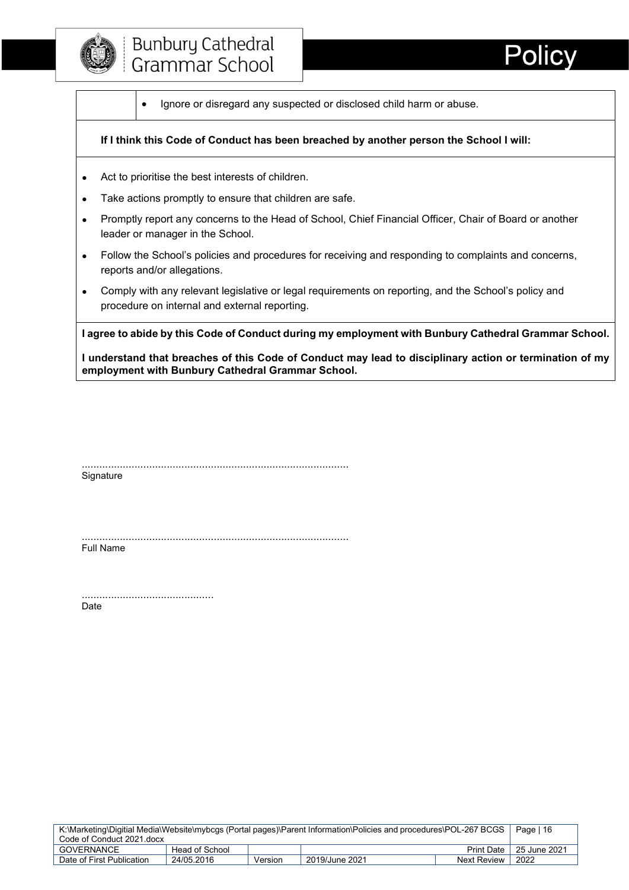

• Ignore or disregard any suspected or disclosed child harm or abuse.

#### **If I think this Code of Conduct has been breached by another person the School I will:**

- Act to prioritise the best interests of children.
- Take actions promptly to ensure that children are safe.
- Promptly report any concerns to the Head of School, Chief Financial Officer, Chair of Board or another leader or manager in the School.
- Follow the School's policies and procedures for receiving and responding to complaints and concerns, reports and/or allegations.
- Comply with any relevant legislative or legal requirements on reporting, and the School's policy and procedure on internal and external reporting.

**I agree to abide by this Code of Conduct during my employment with Bunbury Cathedral Grammar School.** 

**I understand that breaches of this Code of Conduct may lead to disciplinary action or termination of my employment with Bunbury Cathedral Grammar School.**

........................................................................................... **Signature** 

........................................................................................... Full Name

............................................. Date

| K:\Marketing\Digitial Media\Website\mybcgs (Portal pages)\Parent Information\Policies and procedures\POL-267 BCGS   Page   16 |                |  |  |  |                                 |
|-------------------------------------------------------------------------------------------------------------------------------|----------------|--|--|--|---------------------------------|
| Code of Conduct 2021.docx                                                                                                     |                |  |  |  |                                 |
| GOVERNANCE                                                                                                                    | Head of School |  |  |  | Print Date $\vert$ 25 June 2021 |
| 2022<br>24/05.2016<br>2019/June 2021<br>Date of First Publication<br>Next Review<br>Version                                   |                |  |  |  |                                 |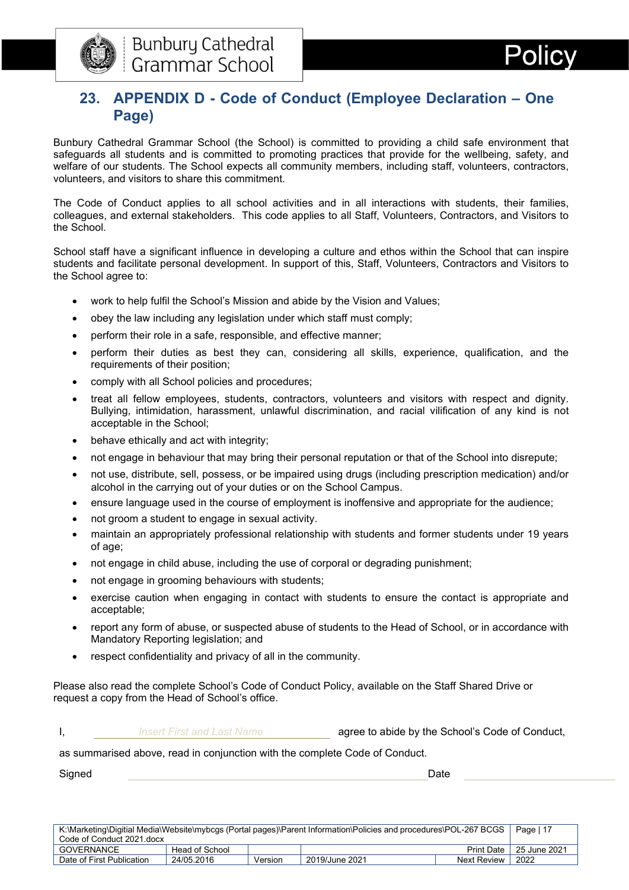

## <span id="page-17-0"></span>**23. APPENDIX D - Code of Conduct (Employee Declaration – One Page)**

Bunbury Cathedral Grammar School (the School) is committed to providing a child safe environment that safeguards all students and is committed to promoting practices that provide for the wellbeing, safety, and welfare of our students. The School expects all community members, including staff, volunteers, contractors, volunteers, and visitors to share this commitment.

The Code of Conduct applies to all school activities and in all interactions with students, their families, colleagues, and external stakeholders. This code applies to all Staff, Volunteers, Contractors, and Visitors to the School.

School staff have a significant influence in developing a culture and ethos within the School that can inspire students and facilitate personal development. In support of this, Staff, Volunteers, Contractors and Visitors to the School agree to:

- work to help fulfil the School's Mission and abide by the Vision and Values;
- obey the law including any legislation under which staff must comply;
- perform their role in a safe, responsible, and effective manner;
- perform their duties as best they can, considering all skills, experience, qualification, and the requirements of their position;
- comply with all School policies and procedures;
- treat all fellow employees, students, contractors, volunteers and visitors with respect and dignity. Bullying, intimidation, harassment, unlawful discrimination, and racial vilification of any kind is not acceptable in the School;
- behave ethically and act with integrity;
- not engage in behaviour that may bring their personal reputation or that of the School into disrepute;
- not use, distribute, sell, possess, or be impaired using drugs (including prescription medication) and/or alcohol in the carrying out of your duties or on the School Campus.
- ensure language used in the course of employment is inoffensive and appropriate for the audience;
- not groom a student to engage in sexual activity.
- maintain an appropriately professional relationship with students and former students under 19 years of age;
- not engage in child abuse, including the use of corporal or degrading punishment;
- not engage in grooming behaviours with students;
- exercise caution when engaging in contact with students to ensure the contact is appropriate and acceptable;
- report any form of abuse, or suspected abuse of students to the Head of School, or in accordance with Mandatory Reporting legislation; and
- respect confidentiality and privacy of all in the community.

Please also read the complete School's Code of Conduct Policy, available on the Staff Shared Drive or request a copy from the Head of School's office.

**I,** *Insert First and Last Name* **agree to abide by the School's Code of Conduct,** 

as summarised above, read in conjunction with the complete Code of Conduct.

Signed Date

| K:\Marketing\Digitial Media\Website\mybcgs (Portal pages)\Parent Information\Policies and procedures\POL-267 BCGS |                |  |  | Page   17 |                           |
|-------------------------------------------------------------------------------------------------------------------|----------------|--|--|-----------|---------------------------|
| Code of Conduct 2021 docx                                                                                         |                |  |  |           |                           |
| GOVERNANCE                                                                                                        | Head of School |  |  |           | Print Date   25 June 2021 |
| 2022<br>24/05.2016<br>2019/June 2021<br>Date of First Publication<br>Version<br>Next Review                       |                |  |  |           |                           |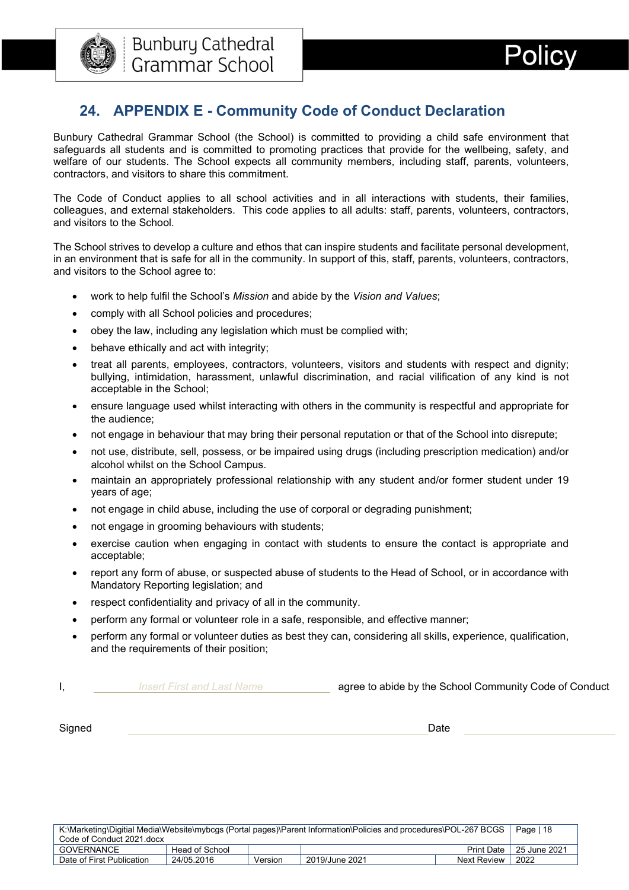

## <span id="page-18-0"></span>**24. APPENDIX E - Community Code of Conduct Declaration**

Bunbury Cathedral Grammar School (the School) is committed to providing a child safe environment that safeguards all students and is committed to promoting practices that provide for the wellbeing, safety, and welfare of our students. The School expects all community members, including staff, parents, volunteers, contractors, and visitors to share this commitment.

The Code of Conduct applies to all school activities and in all interactions with students, their families, colleagues, and external stakeholders. This code applies to all adults: staff, parents, volunteers, contractors, and visitors to the School.

The School strives to develop a culture and ethos that can inspire students and facilitate personal development, in an environment that is safe for all in the community. In support of this, staff, parents, volunteers, contractors, and visitors to the School agree to:

- work to help fulfil the School's *Mission* and abide by the *Vision and Values*;
- comply with all School policies and procedures;
- obey the law, including any legislation which must be complied with;
- behave ethically and act with integrity;
- treat all parents, employees, contractors, volunteers, visitors and students with respect and dignity; bullying, intimidation, harassment, unlawful discrimination, and racial vilification of any kind is not acceptable in the School;
- ensure language used whilst interacting with others in the community is respectful and appropriate for the audience;
- not engage in behaviour that may bring their personal reputation or that of the School into disrepute;
- not use, distribute, sell, possess, or be impaired using drugs (including prescription medication) and/or alcohol whilst on the School Campus.
- maintain an appropriately professional relationship with any student and/or former student under 19 years of age;
- not engage in child abuse, including the use of corporal or degrading punishment;
- not engage in grooming behaviours with students;
- exercise caution when engaging in contact with students to ensure the contact is appropriate and acceptable;
- report any form of abuse, or suspected abuse of students to the Head of School, or in accordance with Mandatory Reporting legislation; and
- respect confidentiality and privacy of all in the community.
- perform any formal or volunteer role in a safe, responsible, and effective manner;
- perform any formal or volunteer duties as best they can, considering all skills, experience, qualification, and the requirements of their position;

| <b>Insert First and Last Name</b> | agree to abide by the School Community Code of Conduct |
|-----------------------------------|--------------------------------------------------------|
|                                   |                                                        |

Signed **Date** 

| K:\Marketing\Digitial Media\Website\mybcgs (Portal pages)\Parent Information\Policies and procedures\POL-267 BCGS |                |  |  |  | Page   18                 |
|-------------------------------------------------------------------------------------------------------------------|----------------|--|--|--|---------------------------|
| Code of Conduct 2021 docx                                                                                         |                |  |  |  |                           |
| <b>GOVERNANCE</b>                                                                                                 | Head of School |  |  |  | Print Date   25 June 2021 |
| 2022<br>24/05.2016<br>Date of First Publication<br>2019/June 2021<br><b>Next Review</b><br>Version                |                |  |  |  |                           |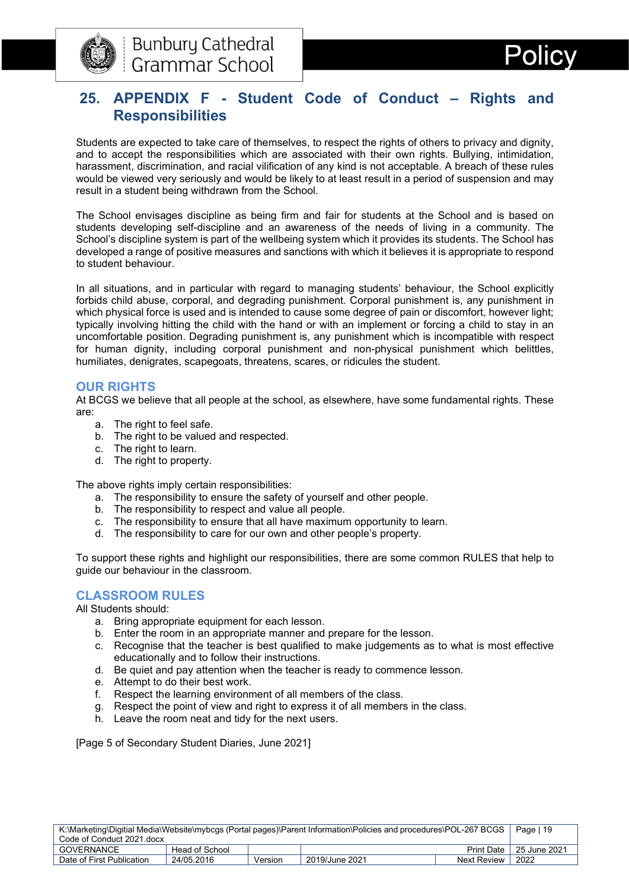



## <span id="page-19-0"></span>**25. APPENDIX F - Student Code of Conduct – Rights and Responsibilities**

Students are expected to take care of themselves, to respect the rights of others to privacy and dignity, and to accept the responsibilities which are associated with their own rights. Bullying, intimidation, harassment, discrimination, and racial vilification of any kind is not acceptable. A breach of these rules would be viewed very seriously and would be likely to at least result in a period of suspension and may result in a student being withdrawn from the School.

The School envisages discipline as being firm and fair for students at the School and is based on students developing self-discipline and an awareness of the needs of living in a community. The School's discipline system is part of the wellbeing system which it provides its students. The School has developed a range of positive measures and sanctions with which it believes it is appropriate to respond to student behaviour.

In all situations, and in particular with regard to managing students' behaviour, the School explicitly forbids child abuse, corporal, and degrading punishment. Corporal punishment is, any punishment in which physical force is used and is intended to cause some degree of pain or discomfort, however light; typically involving hitting the child with the hand or with an implement or forcing a child to stay in an uncomfortable position. Degrading punishment is, any punishment which is incompatible with respect for human dignity, including corporal punishment and non-physical punishment which belittles, humiliates, denigrates, scapegoats, threatens, scares, or ridicules the student.

#### **OUR RIGHTS**

At BCGS we believe that all people at the school, as elsewhere, have some fundamental rights. These are:

- a. The right to feel safe.
- b. The right to be valued and respected.
- c. The right to learn.
- d. The right to property.

The above rights imply certain responsibilities:

- a. The responsibility to ensure the safety of yourself and other people.
- b. The responsibility to respect and value all people.
- c. The responsibility to ensure that all have maximum opportunity to learn.
- d. The responsibility to care for our own and other people's property.

To support these rights and highlight our responsibilities, there are some common RULES that help to guide our behaviour in the classroom.

#### **CLASSROOM RULES**

All Students should:

- a. Bring appropriate equipment for each lesson.
- b. Enter the room in an appropriate manner and prepare for the lesson.
- c. Recognise that the teacher is best qualified to make judgements as to what is most effective educationally and to follow their instructions.
- d. Be quiet and pay attention when the teacher is ready to commence lesson.
- e. Attempt to do their best work.
- f. Respect the learning environment of all members of the class.
- g. Respect the point of view and right to express it of all members in the class.
- h. Leave the room neat and tidy for the next users.

[Page 5 of Secondary Student Diaries, June 2021]

| K:\Marketing\Digitial Media\Website\mybcgs (Portal pages)\Parent Information\Policies and procedures\POL-267 BCGS |                |         |                | Page   19   |                                 |
|-------------------------------------------------------------------------------------------------------------------|----------------|---------|----------------|-------------|---------------------------------|
| Code of Conduct 2021.docx                                                                                         |                |         |                |             |                                 |
| GOVERNANCE                                                                                                        | Head of School |         |                |             | Print Date $\vert$ 25 June 2021 |
| Date of First Publication                                                                                         | 24/05.2016     | Version | 2019/June 2021 | Next Review | 2022                            |